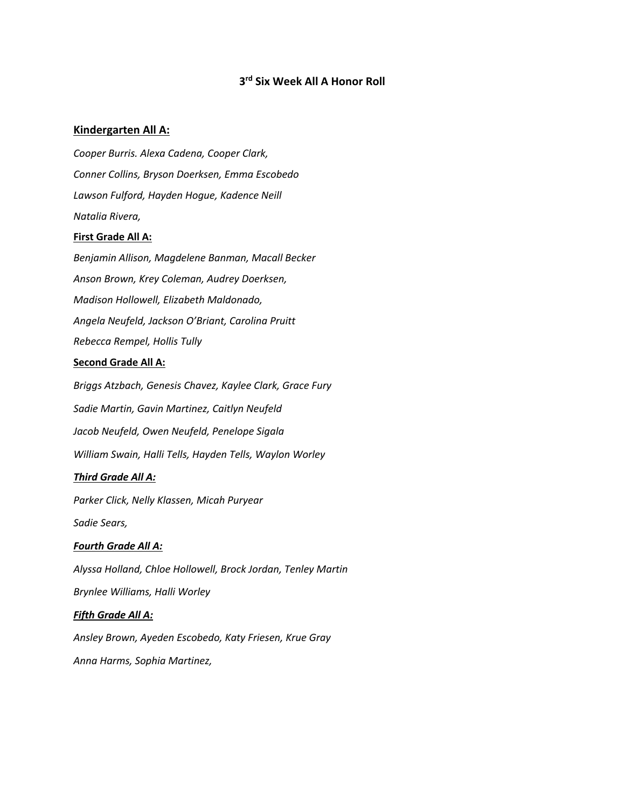# **3rd Six Week All A Honor Roll**

# **Kindergarten All A:**

*Cooper Burris. Alexa Cadena, Cooper Clark, Conner Collins, Bryson Doerksen, Emma Escobedo Lawson Fulford, Hayden Hogue, Kadence Neill Natalia Rivera,* 

### **First Grade All A:**

*Benjamin Allison, Magdelene Banman, Macall Becker Anson Brown, Krey Coleman, Audrey Doerksen, Madison Hollowell, Elizabeth Maldonado, Angela Neufeld, Jackson O'Briant, Carolina Pruitt Rebecca Rempel, Hollis Tully*

### **Second Grade All A:**

*Briggs Atzbach, Genesis Chavez, Kaylee Clark, Grace Fury Sadie Martin, Gavin Martinez, Caitlyn Neufeld Jacob Neufeld, Owen Neufeld, Penelope Sigala William Swain, Halli Tells, Hayden Tells, Waylon Worley*

## *Third Grade All A:*

*Parker Click, Nelly Klassen, Micah Puryear*

*Sadie Sears,* 

## *Fourth Grade All A:*

*Alyssa Holland, Chloe Hollowell, Brock Jordan, Tenley Martin*

*Brynlee Williams, Halli Worley*

## *Fifth Grade All A:*

*Ansley Brown, Ayeden Escobedo, Katy Friesen, Krue Gray Anna Harms, Sophia Martinez,*